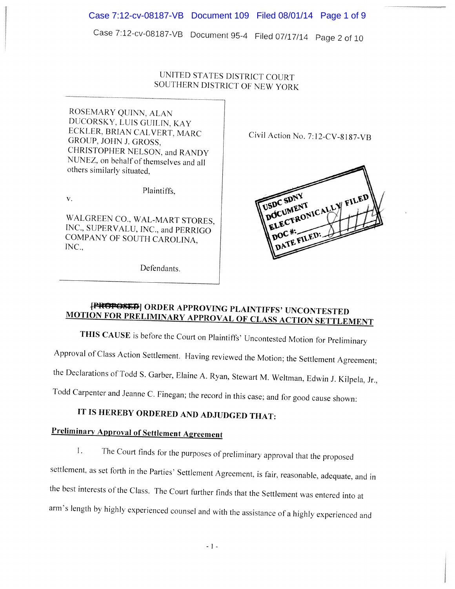Case 7:12-cv-08187-VB Document 95-4 Filed 07/17/14 Page <sup>2</sup> of <sup>10</sup>

### UNITED STATES DISTRICT COURT SOUTHERN DISTRICT OF NEW YORK

ROSEMARY QUINN. ALAN DUCORSKY. LUIS GUILIN. KAY ECKLER, BRIAN CALVERT, MARC Civil Action No. 7:12-CV-8187-VB GROUP. JOHN J. GROSS, CHRISTOPHER NELSON. and RANDY NUNEZ. on behalf of themselves and all others similarly situated.

Plaintiffs.

V.

WALGREEN CO., WAL-MART STORES, INC., SUPERVALU, INC., and PERRIGO COMPANY OF SOUTH CAROLINA, INC.,

Defendants.



## **[PROPOSED]** ORDER APPROVING PLAINTIFFS' UNCONTESTED MOTION FOR PRELIMINARY APPROVAL OF CLASS ACTION SETTLEMENT

THIS CAUSE is before the Court on Plaintiffs' Uncontested Motion for Preliminary Approval of Class Action Settlement. Having reviewed the Motion; the Settlement Agreement; the Declarations of Todd S. Garber, Elaine A. Ryan, Stewart M. Weitman, Edwin J, Kilpela, Jr., Todd Carpenter and Jeanne C. Finegan; the record in this case: and for good cause shown:

## IT IS HEREBY ORDERED AND ADJUDGED THAT:

## Preliminary Approval of Settlement Agreement

I. The Court finds for the purposes of preliminary approval that the proposed settlement, as set forth in the Parties' Settlement Agreement, is fair, reasonable, adequate, and in the best interests of the Class. The Court further finds that the Settlement was entered into at arrn's length by highly experienced counsel and with the assistance of <sup>a</sup> highly experienced and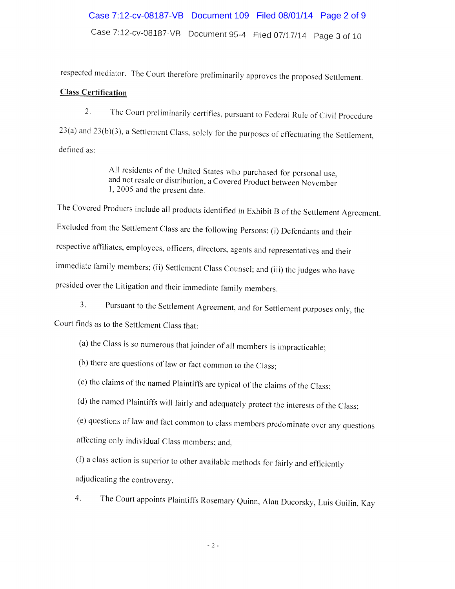### Case 7:12-cv-08187-VB Document 109 Filed 08/01/14 Page 2 of 9

Case 7:12-cv-08187-VB Document 95-4 Filed 07/17/14 Page <sup>3</sup> of <sup>10</sup>

respected mediator. The Court therefore preliminarily approves the proposed Settlement.

#### Class Certification

2. The Court preliminarily certifies, pursuant to Federal Rule of Civil Procedure 23(a) and 23(b)(3). <sup>a</sup> Settlement Class, solely for the purposes of effectuating the Settlement, defined as:

> All residents of the United States who purchased for personal use, and not resale or distribution, <sup>a</sup> Covered Product between November 1, 2005 and the present date.

The Covered Products include all products identified in Exhibit <sup>B</sup> of the Settlement Agreement. Excluded from the Settlement Class are the following Persons: (i) Defendants and their respective affiliates, employees, officers, directors, agents and representatives and their immediate family members; (ii) Settlement Class Counsel; and (iii) the judges who have presided over the Litigation and their immediate family members.

3. Pursuant to the Settlement Agreement. and for Settlement purposes only, the Court finds as to the Settlement Class that:

- (a) the Class is so numerous that joinder of all members is impracticable;
- (b) there are questions of law or fact common to the Class;
- (c) the claims of the named Plaintiffs are typical of the claims of the Class;
- (d) the named Plaintiffs will fairly and adequately protect the interests of the Class;
- (e) questions of law and fact common to class members predominate over any questions affecting only individual Class members; and.

 $(f)$  a class action is superior to other available methods for fairly and efficiently adjudicating the controversy.

4. The Court appoints Plaintiffs Rosemary Quinn. Alan Ducorsky. Luis Guilin. Kay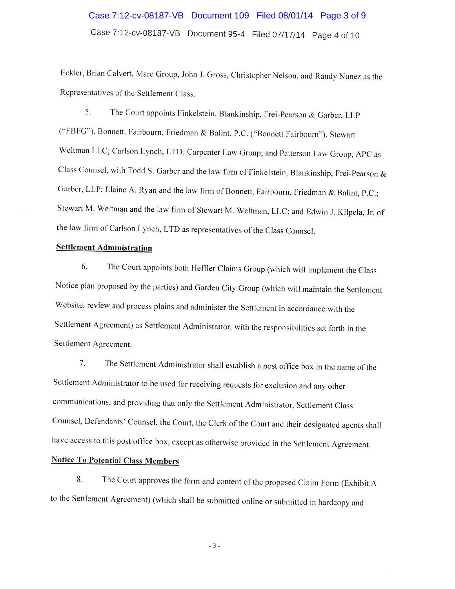## Case 7:12-cv-08187-VB Document 95-4 Filed 07/17/14 Page 4 of 10 Case 7:12-cv-08187-VB Document 109 Filed 08/01/14 Page 3 of 9

Eckler, Brian Calvert. Marc Group, John J. Gross, Christopher Nelson, and Randy Nunez as the Representatives of the Settlement Class.

5. The Court appoints Finkelstein, Blankinship. Frei-Pearson & Garber. LLP ("FBFG"), Bonnett, Fairbourn, Friedman & Balint, P.C. ("Bonnett Fairbourn"), Stewart Weltman LLC; Carlson Lynch, LTD; Carpenter Law Group; and Patterson Law Group, APC as Class Counsel, with Todd S. Garber and the law firm of Finkeistein, Blankinship. Frei-Pearson & Garber, LLP; Elaine A. Ryan and the law firm of Bonnett, Fairbourn, Friedman & Balint, P.C.; Stewart M. Weltman and the law firm of Stewart M. Weitman. LLC; and Edwin J. Kilpela, Jr. of the law firm of Carison Lynch. LTD as representatives of the Class Counsel.

### Settlement Administration

6. The Court appoints both Heffler Claims Group (which will implement the Class Notice <sup>p</sup>lan proposed by the parties) and Garden City Group (which will maintain the Settlement Website. review and process <sup>p</sup>lains and administer the Settlement in accordance with the Settlement Agreement) as Settlement Administrator, with the responsibilities set forth in the Settlement Agreement.

7. The Settlement Administrator shall establish <sup>a</sup> post office box in the name of the Settlement Administrator to be used for receiving requests for exclusion and any other communications, and providing that only the Settlement Administrator. Settlement Class Counsel. Defendants' Counsel, the Court. the Clerk of the Court and their designated agents shall have access to this post office box. except as otherwise provided in the Settlement Agreement.

### Notice To Potential Class Members

8. The Court approves the form and content of the proposed Claim Form (Exhibit <sup>A</sup> to the Settlement Agreement) (which shall be submitted online or submitted in hardcopy and

 $-3-$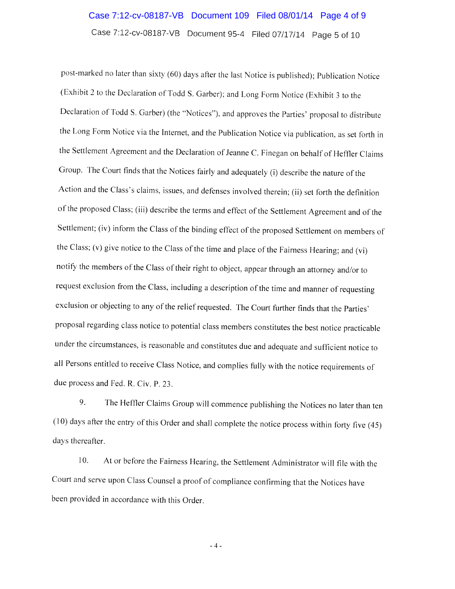### Case 7:12-cv-08187-VB Document 109 Filed 08/01/14 Page 4 of 9

Case 7:12-cv-08187-VB Document 95-4 Filed 07/17/14 Page 5 of 10

post-marked no later than sixty (60) days after the last Notice is published); Publication Notice (Exhibit 2 to the Declaration of Todd S. Garber); and Long Form Notice (Exhibit 3 to the Declaration of Todd S. Garber) (the "Notices'). and approves the Parties' proposal to distribute the Long Form Notice via the Internet. and the Publication Notice via publication, as set forth in the Settlement Agreement and the Declaration of Jeanne C. Finegan on behalf of Heffler Claims Group. The Court finds that the Notices fairly and adequately (i) describe the nature of the Action and the Class's claims, issues, and defenses involved therein; (ii) set forth the definition of the proposed Class; (iii) describe the terms and effect of the Settlement Agreement and of the Settlement; (iv) inform the Class of the binding effect of the proposed Settlement on members of the Class; (v) <sup>g</sup>ive notice to the Class of the time and <sup>p</sup>lace of the Fairness Hearing; and (vi) notify the members of the Class of their right to object, appear through an attorney and/or to request exclusion from the Class, including a description of the time and manner of requesting exclusion or objecting to any of the relief requested. The Court further finds that the Parties' proposal regarding class notice to potential class members constitutes the best notice practicable under the circumstances, is reasonable and constitutes due and adequate and sufficient notice to all Persons entitled to receive Class Notice, and complies fully with the notice requirements of due process and Fed. R. Civ. P. 23.

9. The Heffler Claims Group will commence publishing the Notices no later than ten  $(10)$  days after the entry of this Order and shall complete the notice process within forty five (45) days thereafter.

10. At or before the Fairness Hearing, the Settlement Administrator will file with the Court and serve upon Class Counsel <sup>a</sup> proof of compliance confirming that the Notices have been provided in accordance with this Order.

-4-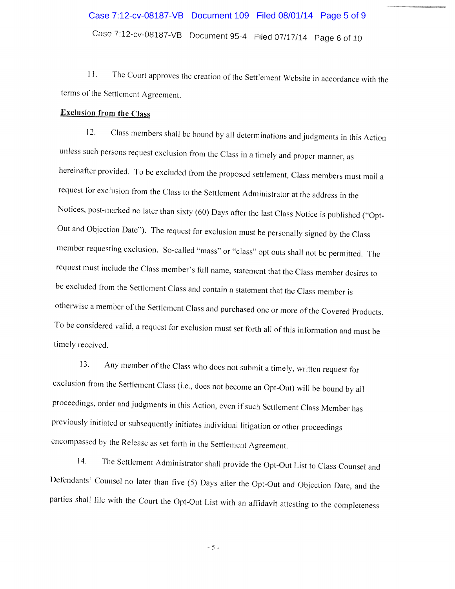# Case 7:12-cv-08187-VB Document 95-4 Filed <sup>07117114</sup> Page <sup>6</sup> of <sup>10</sup> Case 7:12-cv-08187-VB Document 109 Filed 08/01/14 Page 5 of 9

11. The Court approves the creation of the Settlement Website in accordance with the terms of the Settlement Agreement.

### Exclusion from the Class

12. Class members shall be bound by all determinations and judgments in this Action unless such persons request exclusion from the Class in <sup>a</sup> timely and proper manner, as hereinafter provided. To be excluded from the proposed settlement, Class members must mail a request for exclusion from the Class to the Settlement Administrator at the address in the Notices, post-marked no later than sixty (60) Days after the last Class Notice is published ("Opt Out and Objection Date"). The request for exclusion must be personally signed by the Class member requesting exclusion. So-called "mass" or "class" opt outs shall not be permitted. The request must include the Class member's full name, statement that the Class member desires to be excluded from the Settlement Class and contain <sup>a</sup> statement that the Class member is otherwise a member of the Settlement Class and purchased one or more of the Covered Products. To be considered valid, a request for exclusion must set forth all of this information and must be timely received.

13. Any member of the Class who does not submit a timely, written request for exclusion from the Settlement Class (i.e., does not become an Opt-Out) will be bound by all proceedings, order and judgments in this Action, even if such Settlement Class Member has previously initiated or subsequently initiates individual litigation or other proceedings encompassed by the Release as set forth in the Settlement Agreement.

14. The Settlement Administrator shall provide the Opt-Out List to Class Counsel and Defendants' Counsel no later than five (5) Days after the Opt-Out and Objection Date, and the parties shall file with the Court the Opt-Out List with an affidavit attesting to the completeness

-5-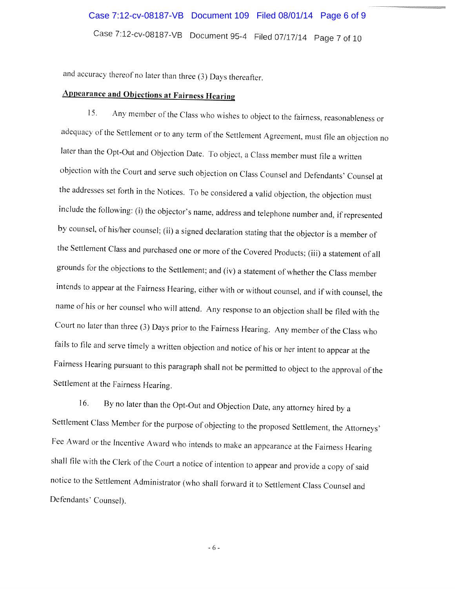# Case 7:12-cv-08187-VB Document 95-4 Filed 07/17/14 Page <sup>7</sup> of <sup>10</sup> Case 7:12-cv-08187-VB Document 109 Filed 08/01/14 Page 6 of 9

and accuracy thereof no later than three (3) Days thereafter.

## Appearance and Objections at Fairness Hearing

15. Any member of the Class who wishes to object to the fairness, reasonableness or adequacy of the Settlement or to any term of the Settlement Agreement, must file an objection no later than the Opt-Out and Objection Date. To object, <sup>a</sup> Class member must file <sup>a</sup> written objection with the Court and serve such objection on Class Counsel and Defendants' Counsel at the addresses set forth in the Notices. To be considered <sup>a</sup> valid objection, the objection must include the following: (i) the objector's name, address and telephone number and, if represented by counsel, of his/her counsel; (ii) <sup>a</sup> signed declaration stating that the objector is <sup>a</sup> member of the Settlement Class and purchased one or more of the Covered Products; (iii) <sup>a</sup> statement of all grounds for the objections to the Settlement; and (iv) <sup>a</sup> statement of whether the Class member intends to appear at the Fairness Hearing, either with or without counsel, and if with counsel, the name of his or her counsel who will attend. Any response to an objection shall be filed with the Court no later than three (3) Days prior to the Fairness Hearing. Any member of the Class who fails to file and serve timely <sup>a</sup> written objection and notice of his or her intent to appear at the Fairness hearing pursuant to this paragraph shall not be permitted to object to the approval of the Settlement at the Fairness Hearing.

16. By no later than the Opt-Out and Objection Date, any attorney hired by a Settlement Class Member for the purpose of objecting to the proposed Settlement, the Attorneys' Fee Award or the Incentive Award who intends to make an appearance at the Fairness Hearing shall file with the Clerk of the Court <sup>a</sup> notice of intention to appear and provide <sup>a</sup> copy of said notice to the Settlement Administrator (who shall forward it to Settlement Class Counsel and Defendants' Counsel).

-6-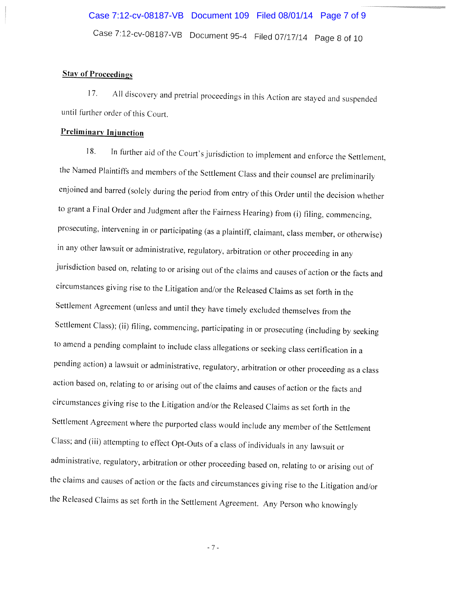### **Stay of Proceedings**

17. All discovery and pretrial proceedings in this Action are stayed and suspended until further order of this Court.

#### Preliminary Injunction

18. In further aid of the Court's jurisdiction to implement and enforce the Settlement, the Named Plaintiffs and members of the Settlement Class and their counsel are preliminarily enjoined and barred (solely during the period from entry of this Order until the decision whether to grant <sup>a</sup> Final Order and Judgment after the Fairness Hearing) from (i) filing, commencing, prosecuting, intervening in or participating (as <sup>a</sup> <sup>p</sup>laintiff, claimant, class member, or otherwise) in any other lawsuit or administrative, regulatory, arbitration or other proceeding in any jurisdiction based on, relating to or arising out of the claims and causes of action or the facts and circumstances <sup>g</sup>iving rise to the Litigation and/or the Released Claims as set forth in the Settlement Agreement (unless and until they have timely excluded themselves from the Settlement Class); (ii) filing, commencing, participating in or prosecuting (including by seeking to amend <sup>a</sup> pending complaint to include class allegations or seeking class certification in <sup>a</sup> pending action) <sup>a</sup> lawsuit or administrative, regulatory, arbitration or other proceeding as <sup>a</sup> class action based on, relating to or arising out of the claims and causes of action or the facts and circumstances <sup>g</sup>iving rise to the Litigation and/or the Released Claims as set forth in the Settlement Agreement where the purported class would include any member of the Settlement Class; and (iii) attempting to effect Opt-Outs of <sup>a</sup> class of individuals in any lawsuit or administrative, regulatory, arbitration or other proceeding based on, relating to or arising out of the claims and causes of action or the facts and circumstances <sup>g</sup>iving rise to the Litigation and/or the Released Claims as set forth in the Settlement Agreement. Any Person who knowingly

-7-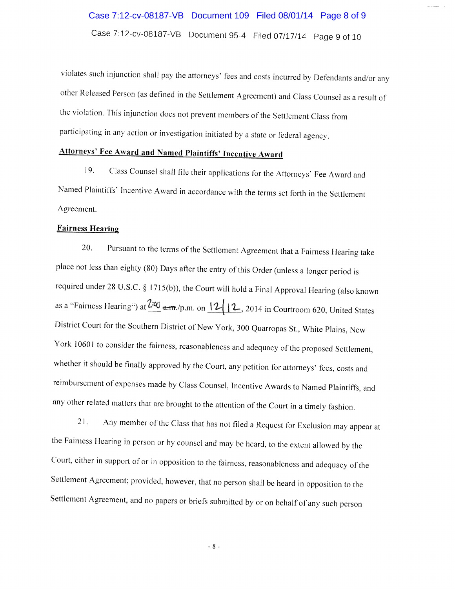# Case 7:12-cv-08187-VB Document 109 Filed 08/01/14 Page 8 of 9

Case 7:12-cv-08187-VB Document 95-4 RIed 07/17114 Page <sup>9</sup> of <sup>10</sup>

violates such injunction shall pay the attorneys' fees and costs incurred by Defendants and/or any other Released Person (as defined in the Settlement Agreement) and Class Counsel as <sup>a</sup> result of the violation. This injunction does not prevent members of the Settlement Class from participatine in any action or investigation initiated by <sup>a</sup> state or federal agency.

## Attorneys' Fee Award and Named Plaintiffs' Incentive Award

19. Class Counsel shall file their applications for the Attorneys' Fee Award and Named Plaintiffs' Incentive Award in accordance with the terms set forth in the Settlement Agreement.

#### Fairness Hearing

20. Pursuant to the terms of the Settlement Agreement that a Fairness Hearing take <sup>p</sup>lace not less than eighty (80) Days after the entry of this Order (unless <sup>a</sup> longer period is required under <sup>28</sup> U.S.C. § 1715(b)). the Court will hold <sup>a</sup> Final Approval Hearing (also known as a "Fairness Hearing") at  $\frac{2\omega}{m}$  a.m./p.m. on  $\frac{12}{12}$ , 2014 in Courtroom 620, United States District Court for the Southern District of New York, <sup>300</sup> Quarropas St., White Plains, New York <sup>10601</sup> to consider the fairness, reasonableness and adequacy of the proposed Settlement, whether it should be finally approved by the Court. any petition for attorneys' fees, costs and reimbursement of expenses made by Class Counsel, Incentive Awards to Named Plaintiffs, and any other related matters that are brought to the attention of the Court in a timely fashion.

21. Any member of the Class that has not filed <sup>a</sup> Request for Exclusion may appear at the Fairness Hearing in person or by counsel and may be heard, to the extent allowed by the Court. either in support of or in opposition to the fairness, reasonableness and adequacy of the Settlement Agreement: provided. however, that no person shall be heard in opposition to the Settlement Agreement, and no papers or briefs submitted by or on behalf of any such person

-8-